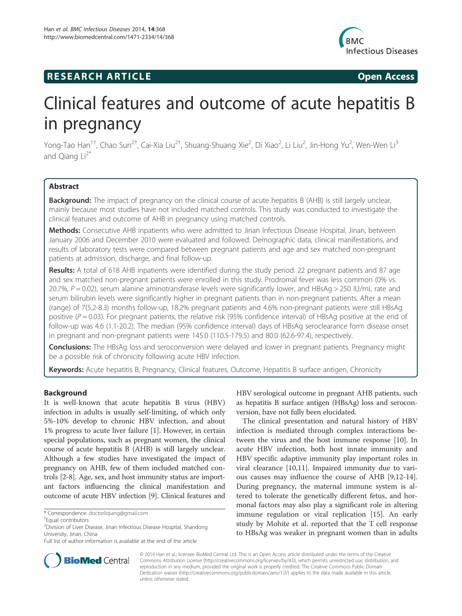# **RESEARCH ARTICLE Example 2014 CONSIDERING CONSIDERING CONSIDERING CONSIDERING CONSIDERING CONSIDERING CONSIDERING CONSIDERING CONSIDERING CONSIDERING CONSIDERING CONSIDERING CONSIDERING CONSIDERING CONSIDERING CONSIDE**



# Clinical features and outcome of acute hepatitis B in pregnancy

Yong-Tao Han<sup>1†</sup>, Chao Sun<sup>2†</sup>, Cai-Xia Liu<sup>2†</sup>, Shuang-Shuang Xie<sup>2</sup>, Di Xiao<sup>2</sup>, Li Liu<sup>2</sup>, Jin-Hong Yu<sup>2</sup>, Wen-Wen Li<sup>3</sup> and Qiang  $Li<sup>2*</sup>$ 

# Abstract

**Background:** The impact of pregnancy on the clinical course of acute hepatitis B (AHB) is still largely unclear, mainly because most studies have not included matched controls. This study was conducted to investigate the clinical features and outcome of AHB in pregnancy using matched controls.

Methods: Consecutive AHB inpatients who were admitted to Jinan Infectious Disease Hospital, Jinan, between January 2006 and December 2010 were evaluated and followed. Demographic data, clinical manifestations, and results of laboratory tests were compared between pregnant patients and age and sex matched non-pregnant patients at admission, discharge, and final follow-up.

Results: A total of 618 AHB inpatients were identified during the study period. 22 pregnant patients and 87 age and sex matched non-pregnant patients were enrolled in this study. Prodromal fever was less common (0% vs. 20.7%,  $P = 0.02$ ), serum alanine aminotransferase levels were significantly lower, and HBsAg > 250 IU/mL rate and serum bilirubin levels were significantly higher in pregnant patients than in non-pregnant patients. After a mean (range) of 7(5.2-8.3) months follow-up, 18.2% pregnant patients and 4.6% non-pregnant patients were still HBsAg positive ( $P = 0.03$ ). For pregnant patients, the relative risk (95% confidence interval) of HBsAg positive at the end of follow-up was 4.6 (1.1-20.2). The median (95% confidence interval) days of HBsAg seroclearance form disease onset in pregnant and non-pregnant patients were 145.0 (110.5-179.5) and 80.0 (62.6-97.4), respectively.

**Conclusions:** The HBsAg loss and seroconversion were delayed and lower in pregnant patients. Pregnancy might be a possible risk of chronicity following acute HBV infection.

Keywords: Acute hepatitis B, Pregnancy, Clinical features, Outcome, Hepatitis B surface antigen, Chronicity

# Background

It is well-known that acute hepatitis B virus (HBV) infection in adults is usually self-limiting, of which only 5%-10% develop to chronic HBV infection, and about 1% progress to acute liver failure [1]. However, in certain special populations, such as pregnant women, the clinical course of acute hepatitis B (AHB) is still largely unclear. Although a few studies have investigated the impact of pregnancy on AHB, few of them included matched controls [2-8]. Age, sex, and host immunity status are important factors influencing the clinical manifestation and outcome of acute HBV infection [9]. Clinical features and

HBV serological outcome in pregnant AHB patients, such as hepatitis B surface antigen (HBsAg) loss and seroconversion, have not fully been elucidated.

The clinical presentation and natural history of HBV infection is mediated through complex interactions between the virus and the host immune response [10]. In acute HBV infection, both host innate immunity and HBV specific adaptive immunity play important roles in viral clearance [10,11]. Impaired immunity due to various causes may influence the course of AHB [9,12-14]. During pregnancy, the maternal immune system is altered to tolerate the genetically different fetus, and hormonal factors may also play a significant role in altering immune regulation or viral replication [15]. An early study by Mohite et al. reported that the T cell response to HBsAg was weaker in pregnant women than in adults



© 2014 Han et al.; licensee BioMed Central Ltd. This is an Open Access article distributed under the terms of the Creative Commons Attribution License (http://creativecommons.org/licenses/by/4.0), which permits unrestricted use, distribution, and reproduction in any medium, provided the original work is properly credited. The Creative Commons Public Domain Dedication waiver (http://creativecommons.org/publicdomain/zero/1.0/) applies to the data made available in this article, unless otherwise stated.

<sup>\*</sup> Correspondence: doctorliqiang@gmail.com †

Equal contributors

<sup>&</sup>lt;sup>2</sup> Division of Liver Disease, Jinan Infectious Disease Hospital, Shandong University, Jinan, China

Full list of author information is available at the end of the article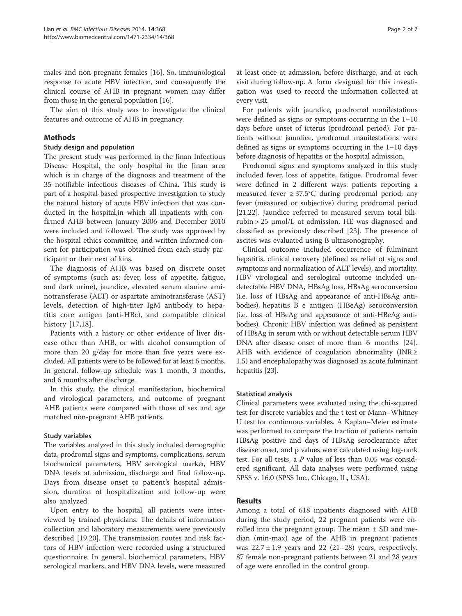males and non-pregnant females [16]. So, immunological response to acute HBV infection, and consequently the clinical course of AHB in pregnant women may differ from those in the general population [16].

The aim of this study was to investigate the clinical features and outcome of AHB in pregnancy.

# **Methods**

# Study design and population

The present study was performed in the Jinan Infectious Disease Hospital, the only hospital in the Jinan area which is in charge of the diagnosis and treatment of the 35 notifiable infectious diseases of China. This study is part of a hospital-based prospective investigation to study the natural history of acute HBV infection that was conducted in the hospital,in which all inpatients with confirmed AHB between January 2006 and December 2010 were included and followed. The study was approved by the hospital ethics committee, and written informed consent for participation was obtained from each study participant or their next of kins.

The diagnosis of AHB was based on discrete onset of symptoms (such as: fever, loss of appetite, fatigue, and dark urine), jaundice, elevated serum alanine aminotransferase (ALT) or aspartate aminotransferase (AST) levels, detection of high-titer IgM antibody to hepatitis core antigen (anti-HBc), and compatible clinical history [17,18].

Patients with a history or other evidence of liver disease other than AHB, or with alcohol consumption of more than 20 g/day for more than five years were excluded. All patients were to be followed for at least 6 months. In general, follow-up schedule was 1 month, 3 months, and 6 months after discharge.

In this study, the clinical manifestation, biochemical and virological parameters, and outcome of pregnant AHB patients were compared with those of sex and age matched non-pregnant AHB patients.

# Study variables

The variables analyzed in this study included demographic data, prodromal signs and symptoms, complications, serum biochemical parameters, HBV serological marker, HBV DNA levels at admission, discharge and final follow-up. Days from disease onset to patient's hospital admission, duration of hospitalization and follow-up were also analyzed.

Upon entry to the hospital, all patients were interviewed by trained physicians. The details of information collection and laboratory measurements were previously described [19,20]. The transmission routes and risk factors of HBV infection were recorded using a structured questionnaire. In general, biochemical parameters, HBV serological markers, and HBV DNA levels, were measured

at least once at admission, before discharge, and at each visit during follow-up. A form designed for this investigation was used to record the information collected at every visit.

For patients with jaundice, prodromal manifestations were defined as signs or symptoms occurring in the 1–10 days before onset of icterus (prodromal period). For patients without jaundice, prodromal manifestations were defined as signs or symptoms occurring in the 1–10 days before diagnosis of hepatitis or the hospital admission.

Prodromal signs and symptoms analyzed in this study included fever, loss of appetite, fatigue. Prodromal fever were defined in 2 different ways: patients reporting a measured fever  $\geq 37.5^{\circ}$ C during prodromal period; any fever (measured or subjective) during prodromal period [21,22]. Jaundice referred to measured serum total bilirubin > 25 μmol/L at admission. HE was diagnosed and classified as previously described [23]. The presence of ascites was evaluated using B ultrasonography.

Clinical outcome included occurrence of fulminant hepatitis, clinical recovery (defined as relief of signs and symptoms and normalization of ALT levels), and mortality. HBV virological and serological outcome included undetectable HBV DNA, HBsAg loss, HBsAg seroconversion (i.e. loss of HBsAg and appearance of anti-HBsAg antibodies), hepatitis B e antigen (HBeAg) seroconversion (i.e. loss of HBeAg and appearance of anti-HBeAg antibodies). Chronic HBV infection was defined as persistent of HBsAg in serum with or without detectable serum HBV DNA after disease onset of more than 6 months [24]. AHB with evidence of coagulation abnormality ( $INR \geq$ 1.5) and encephalopathy was diagnosed as acute fulminant hepatitis [23].

# Statistical analysis

Clinical parameters were evaluated using the chi-squared test for discrete variables and the t test or Mann–Whitney U test for continuous variables. A Kaplan–Meier estimate was performed to compare the fraction of patients remain HBsAg positive and days of HBsAg seroclearance after disease onset, and p values were calculated using log-rank test. For all tests, a  $P$  value of less than 0.05 was considered significant. All data analyses were performed using SPSS v. 16.0 (SPSS Inc., Chicago, IL, USA).

# Results

Among a total of 618 inpatients diagnosed with AHB during the study period, 22 pregnant patients were enrolled into the pregnant group. The mean  $\pm$  SD and median (min-max) age of the AHB in pregnant patients was  $22.7 \pm 1.9$  years and  $22$  (21–28) years, respectively. 87 female non-pregnant patients between 21 and 28 years of age were enrolled in the control group.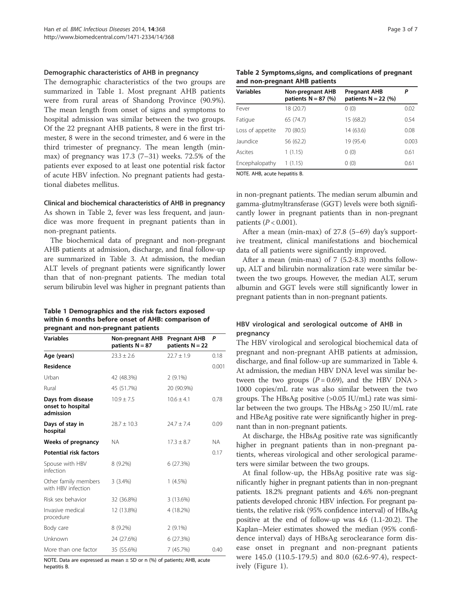#### Demographic characteristics of AHB in pregnancy

The demographic characteristics of the two groups are summarized in Table 1. Most pregnant AHB patients were from rural areas of Shandong Province (90.9%). The mean length from onset of signs and symptoms to hospital admission was similar between the two groups. Of the 22 pregnant AHB patients, 8 were in the first trimester, 8 were in the second trimester, and 6 were in the third trimester of pregnancy. The mean length (minmax) of pregnancy was  $17.3$  (7-31) weeks. 72.5% of the patients ever exposed to at least one potential risk factor of acute HBV infection. No pregnant patients had gestational diabetes mellitus.

#### Clinical and biochemical characteristics of AHB in pregnancy

As shown in Table 2, fever was less frequent, and jaundice was more frequent in pregnant patients than in non-pregnant patients.

The biochemical data of pregnant and non-pregnant AHB patients at admission, discharge, and final follow-up are summarized in Table 3. At admission, the median ALT levels of pregnant patients were significantly lower than that of non-pregnant patients. The median total serum bilirubin level was higher in pregnant patients than

### Table 1 Demographics and the risk factors exposed within 6 months before onset of AHB: comparison of pregnant and non-pregnant patients

| <b>Variables</b>                                    | <b>Non-pregnant AHB</b><br>patients $N = 87$ | <b>Pregnant AHB</b><br>patients $N = 22$ | P     |
|-----------------------------------------------------|----------------------------------------------|------------------------------------------|-------|
| Age (years)                                         | $23.3 \pm 2.6$                               | $22.7 \pm 1.9$                           | 0.18  |
| <b>Residence</b>                                    |                                              |                                          | 0.001 |
| Urban                                               | 42 (48.3%)                                   | $2(9.1\%)$                               |       |
| Rural                                               | 45 (51.7%)                                   | 20 (90.9%)                               |       |
| Days from disease<br>onset to hospital<br>admission | $10.9 + 7.5$                                 | $10.6 + 4.1$                             | 0.78  |
| Days of stay in<br>hospital                         | $28.7 \pm 10.3$                              | $74.7 + 7.4$                             | 0.09  |
| Weeks of pregnancy                                  | <b>NA</b>                                    | $17.3 \pm 8.7$                           | NA.   |
| <b>Potential risk factors</b>                       |                                              |                                          | 0.17  |
| Spouse with HBV<br>infection                        | 8 (9.2%)                                     | 6(27.3%)                                 |       |
| Other family members<br>with HBV infection          | 3(3.4%)                                      | $1(4.5\%)$                               |       |
| Risk sex behavior                                   | 32 (36.8%)                                   | 3 (13.6%)                                |       |
| Invasive medical<br>procedure                       | 12 (13.8%)                                   | 4 (18.2%)                                |       |
| Body care                                           | 8 (9.2%)                                     | $2(9.1\%)$                               |       |
| Unknown                                             | 24 (27.6%)                                   | 6(27.3%)                                 |       |
| More than one factor                                | 35 (55.6%)                                   | 7 (45.7%)                                | 0.40  |

NOTE. Data are expressed as mean  $\pm$  SD or n (%) of patients; AHB, acute hepatitis B.

Table 2 Symptoms,signs, and complications of pregnant and non-pregnant AHB patients

| <b>Variables</b> | <b>Non-pregnant AHB</b><br>patients $N = 87$ (%) | <b>Pregnant AHB</b><br>patients $N = 22$ (%) | Р     |
|------------------|--------------------------------------------------|----------------------------------------------|-------|
| Fever            | 18 (20.7)                                        | 0(0)                                         | 0.02  |
| Fatigue          | 65 (74.7)                                        | 15 (68.2)                                    | 0.54  |
| Loss of appetite | 70 (80.5)                                        | 14 (63.6)                                    | 0.08  |
| Jaundice         | 56 (62.2)                                        | 19 (95.4)                                    | 0.003 |
| Ascites          | 1(1.15)                                          | 0(0)                                         | 0.61  |
| Encephalopathy   | 1(1.15)                                          | 0(0)                                         | 0.61  |
|                  |                                                  |                                              |       |

NOTE. AHB, acute hepatitis B.

in non-pregnant patients. The median serum albumin and gamma-glutmyltransferase (GGT) levels were both significantly lower in pregnant patients than in non-pregnant patients ( $P < 0.001$ ).

After a mean (min-max) of 27.8 (5–69) day's supportive treatment, clinical manifestations and biochemical data of all patients were significantly improved.

After a mean (min-max) of 7 (5.2-8.3) months followup, ALT and bilirubin normalization rate were similar between the two groups. However, the median ALT, serum albumin and GGT levels were still significantly lower in pregnant patients than in non-pregnant patients.

# HBV virological and serological outcome of AHB in pregnancy

The HBV virological and serological biochemical data of pregnant and non-pregnant AHB patients at admission, discharge, and final follow-up are summarized in Table 4. At admission, the median HBV DNA level was similar between the two groups  $(P = 0.69)$ , and the HBV DNA > 1000 copies/mL rate was also similar between the two groups. The HBsAg positive (>0.05 IU/mL) rate was similar between the two groups. The HBsAg > 250 IU/mL rate and HBeAg positive rate were significantly higher in pregnant than in non-pregnant patients.

At discharge, the HBsAg positive rate was significantly higher in pregnant patients than in non-pregnant patients, whereas virological and other serological parameters were similar between the two groups.

At final follow-up, the HBsAg positive rate was significantly higher in pregnant patients than in non-pregnant patients. 18.2% pregnant patients and 4.6% non-pregnant patients developed chronic HBV infection. For pregnant patients, the relative risk (95% confidence interval) of HBsAg positive at the end of follow-up was 4.6 (1.1-20.2). The Kaplan–Meier estimates showed the median (95% confidence interval) days of HBsAg seroclearance form disease onset in pregnant and non-pregnant patients were 145.0 (110.5-179.5) and 80.0 (62.6-97.4), respectively (Figure 1).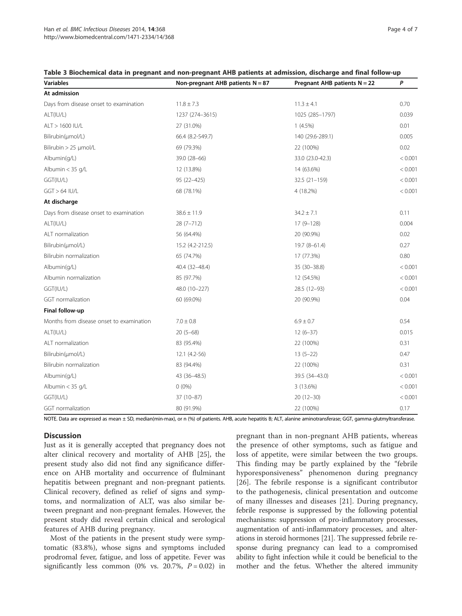#### Table 3 Biochemical data in pregnant and non-pregnant AHB patients at admission, discharge and final follow-up

| <b>Variables</b>                         | Non-pregnant AHB patients $N = 87$ | Pregnant AHB patients N = 22 | P       |
|------------------------------------------|------------------------------------|------------------------------|---------|
| At admission                             |                                    |                              |         |
| Days from disease onset to examination   | $11.8 \pm 7.3$                     | $11.3 \pm 4.1$               | 0.70    |
| ALT(IU/L)                                | 1237 (274-3615)                    | 1025 (285-1797)              | 0.039   |
| ALT > 1600 IU/L                          | 27 (31.0%)                         | $1(4.5\%)$                   | 0.01    |
| Bilirubin(umol/L)                        | 66.4 (8.2-549.7)                   | 140 (29.6-289.1)             | 0.005   |
| Bilirubin > 25 µmol/L                    | 69 (79.3%)                         | 22 (100%)                    | 0.02    |
| Albumin(q/L)                             | 39.0 (28-66)                       | 33.0 (23.0-42.3)             | < 0.001 |
| Albumin $<$ 35 g/L                       | 12 (13.8%)                         | 14 (63.6%)                   | < 0.001 |
| GGT(IU/L)                                | 95 (22-425)                        | $32.5(21-159)$               | < 0.001 |
| $GGT > 64$ IU/L                          | 68 (78.1%)                         | 4 (18.2%)                    | < 0.001 |
| At discharge                             |                                    |                              |         |
| Days from disease onset to examination   | $38.6 \pm 11.9$                    | $34.2 \pm 7.1$               | 0.11    |
| ALT(IU/L)                                | $28(7 - 712)$                      | $17(9 - 128)$                | 0.004   |
| ALT normalization                        | 56 (64.4%)                         | 20 (90.9%)                   | 0.02    |
| Bilirubin(umol/L)                        | 15.2 (4.2-212.5)                   | $19.7(8-61.4)$               | 0.27    |
| Bilirubin normalization                  | 65 (74.7%)                         | 17 (77.3%)                   | 0.80    |
| Albumin(q/L)                             | 40.4 (32-48.4)                     | 35 (30-38.8)                 | < 0.001 |
| Albumin normalization                    | 85 (97.7%)                         | 12 (54.5%)                   | < 0.001 |
| GGT(IU/L)                                | 48.0 (10-227)                      | 28.5 (12-93)                 | < 0.001 |
| GGT normalization                        | 60 (69.0%)                         | 20 (90.9%)                   | 0.04    |
| Final follow-up                          |                                    |                              |         |
| Months from disease onset to examination | $7.0 \pm 0.8$                      | $6.9 \pm 0.7$                | 0.54    |
| ALT(IU/L)                                | $20(5-68)$                         | $12(6-37)$                   | 0.015   |
| ALT normalization                        | 83 (95.4%)                         | 22 (100%)                    | 0.31    |
| Bilirubin(umol/L)                        | $12.1 (4.2-56)$                    | $13(5-22)$                   | 0.47    |
| Bilirubin normalization                  | 83 (94.4%)                         | 22 (100%)                    | 0.31    |
| Albumin(q/L)                             | 43 (36-48.5)                       | 39.5 (34-43.0)               | < 0.001 |
| Albumin $<$ 35 g/L                       | $0(0\%)$                           | 3 (13.6%)                    | < 0.001 |
| GGT(IU/L)                                | $37(10-87)$                        | $20(12-30)$                  | < 0.001 |
| GGT normalization                        | 80 (91.9%)                         | 22 (100%)                    | 0.17    |

NOTE. Data are expressed as mean ± SD, median(min-max), or n (%) of patients. AHB, acute hepatitis B; ALT, alanine aminotransferase; GGT, gamma-glutmyltransferase.

# **Discussion**

Just as it is generally accepted that pregnancy does not alter clinical recovery and mortality of AHB [25], the present study also did not find any significance difference on AHB mortality and occurrence of flulminant hepatitis between pregnant and non-pregnant patients. Clinical recovery, defined as relief of signs and symptoms, and normalization of ALT, was also similar between pregnant and non-pregnant females. However, the present study did reveal certain clinical and serological features of AHB during pregnancy.

Most of the patients in the present study were symptomatic (83.8%), whose signs and symptoms included prodromal fever, fatigue, and loss of appetite. Fever was significantly less common (0% vs. 20.7%,  $P = 0.02$ ) in

pregnant than in non-pregnant AHB patients, whereas the presence of other symptoms, such as fatigue and loss of appetite, were similar between the two groups. This finding may be partly explained by the "febrile hyporesponsiveness" phenomenon during pregnancy [26]. The febrile response is a significant contributor to the pathogenesis, clinical presentation and outcome of many illnesses and diseases [21]. During pregnancy, febrile response is suppressed by the following potential mechanisms: suppression of pro-inflammatory processes, augmentation of anti-inflammatory processes, and alterations in steroid hormones [21]. The suppressed febrile response during pregnancy can lead to a compromised ability to fight infection while it could be beneficial to the mother and the fetus. Whether the altered immunity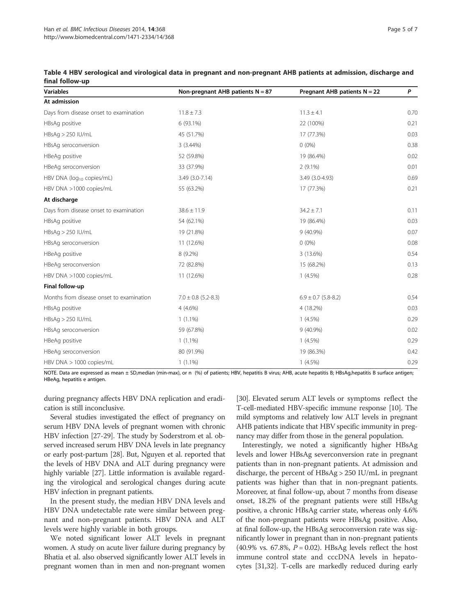| <b>Variables</b>                         | Non-pregnant AHB patients $N = 87$ | Pregnant AHB patients $N = 22$ | P    |
|------------------------------------------|------------------------------------|--------------------------------|------|
| At admission                             |                                    |                                |      |
| Days from disease onset to examination   | $11.8 \pm 7.3$                     | $11.3 \pm 4.1$                 | 0.70 |
| HBsAg positive                           | 6 (93.1%)                          | 22 (100%)                      | 0.21 |
| $HBSAg > 250$ IU/mL                      | 45 (51.7%)                         | 17 (77.3%)                     | 0.03 |
| HBsAg seroconversion                     | $3(3.44\%)$                        | $0(0\%)$                       | 0.38 |
| HBeAg positive                           | 52 (59.8%)                         | 19 (86.4%)                     | 0.02 |
| HBeAg seroconversion                     | 33 (37.9%)                         | $2(9.1\%)$                     | 0.01 |
| HBV DNA (log <sub>10</sub> copies/mL)    | 3.49 (3.0-7.14)                    | 3.49 (3.0-4.93)                | 0.69 |
| HBV DNA >1000 copies/mL                  | 55 (63.2%)                         | 17 (77.3%)                     | 0.21 |
| At discharge                             |                                    |                                |      |
| Days from disease onset to examination   | $38.6 \pm 11.9$                    | $34.2 \pm 7.1$                 | 0.11 |
| HBsAq positive                           | 54 (62.1%)                         | 19 (86.4%)                     | 0.03 |
| $HBSAg > 250$ IU/mL                      | 19 (21.8%)                         | 9 (40.9%)                      | 0.07 |
| HBsAg seroconversion                     | 11 (12.6%)                         | $0(0\%)$                       | 0.08 |
| HBeAg positive                           | 8 (9.2%)                           | 3 (13.6%)                      | 0.54 |
| HBeAg seroconversion                     | 72 (82.8%)                         | 15 (68.2%)                     | 0.13 |
| HBV DNA >1000 copies/mL                  | 11 (12.6%)                         | $1(4.5\%)$                     | 0.28 |
| Final follow-up                          |                                    |                                |      |
| Months from disease onset to examination | $7.0 \pm 0.8$ (5.2-8.3)            | $6.9 \pm 0.7$ (5.8-8.2)        | 0.54 |
| HBsAq positive                           | $4(4.6\%)$                         | 4 (18.2%)                      | 0.03 |
| $HBSAg > 250$ IU/mL                      | $1(1.1\%)$                         | $1(4.5\%)$                     | 0.29 |
| HBsAg seroconversion                     | 59 (67.8%)                         | 9 (40.9%)                      | 0.02 |
| HBeAg positive                           | $1(1.1\%)$                         | $1(4.5\%)$                     | 0.29 |
| HBeAg seroconversion                     | 80 (91.9%)                         | 19 (86.3%)                     | 0.42 |
| HBV DNA > 1000 copies/mL                 | $1(1.1\%)$                         | $1(4.5\%)$                     | 0.29 |

Table 4 HBV serological and virological data in pregnant and non-pregnant AHB patients at admission, discharge and final follow-up

NOTE. Data are expressed as mean ± SD,median (min-max), or n (%) of patients; HBV, hepatitis B virus; AHB, acute hepatitis B; HBsAg,hepatitis B surface antigen; HBeAg, hepatitis e antigen.

during pregnancy affects HBV DNA replication and eradication is still inconclusive.

Several studies investigated the effect of pregnancy on serum HBV DNA levels of pregnant women with chronic HBV infection [27-29]. The study by Soderstrom et al. observed increased serum HBV DNA levels in late pregnancy or early post-partum [28]. But, Nguyen et al. reported that the levels of HBV DNA and ALT during pregnancy were highly variable [27]. Little information is available regarding the virological and serological changes during acute HBV infection in pregnant patients.

In the present study, the median HBV DNA levels and HBV DNA undetectable rate were similar between pregnant and non-pregnant patients. HBV DNA and ALT levels were highly variable in both groups.

We noted significant lower ALT levels in pregnant women. A study on acute liver failure during pregnancy by Bhatia et al. also observed significantly lower ALT levels in pregnant women than in men and non-pregnant women

[30]. Elevated serum ALT levels or symptoms reflect the T-cell-mediated HBV-specific immune response [10]. The mild symptoms and relatively low ALT levels in pregnant AHB patients indicate that HBV specific immunity in pregnancy may differ from those in the general population.

Interestingly, we noted a significantly higher HBsAg levels and lower HBsAg severconversion rate in pregnant patients than in non-pregnant patients. At admission and discharge, the percent of HBsAg > 250 IU/mL in pregnant patients was higher than that in non-pregnant patients. Moreover, at final follow-up, about 7 months from disease onset, 18.2% of the pregnant patients were still HBsAg positive, a chronic HBsAg carrier state, whereas only 4.6% of the non-pregnant patients were HBsAg positive. Also, at final follow-up, the HBsAg seroconversion rate was significantly lower in pregnant than in non-pregnant patients  $(40.9\% \text{ vs. } 67.8\%, P = 0.02)$ . HBsAg levels reflect the host immune control state and cccDNA levels in hepatocytes [31,32]. T-cells are markedly reduced during early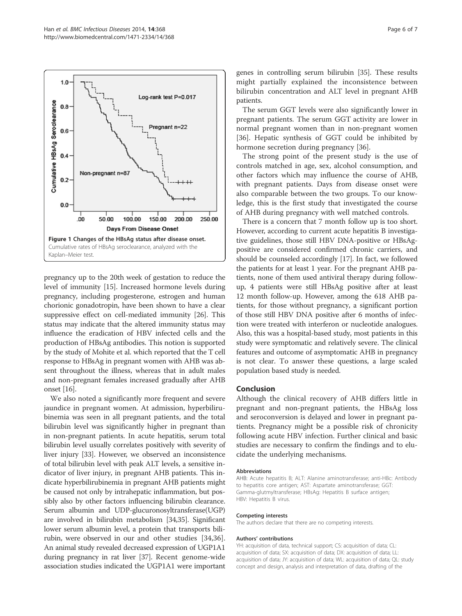

pregnancy up to the 20th week of gestation to reduce the level of immunity [15]. Increased hormone levels during pregnancy, including progesterone, estrogen and human chorionic gonadotropin, have been shown to have a clear suppressive effect on cell-mediated immunity [26]. This status may indicate that the altered immunity status may influence the eradication of HBV infected cells and the production of HBsAg antibodies. This notion is supported by the study of Mohite et al. which reported that the T cell response to HBsAg in pregnant women with AHB was absent throughout the illness, whereas that in adult males and non-pregnant females increased gradually after AHB onset [16].

We also noted a significantly more frequent and severe jaundice in pregnant women. At admission, hyperbilirubinemia was seen in all pregnant patients, and the total bilirubin level was significantly higher in pregnant than in non-pregnant patients. In acute hepatitis, serum total bilirubin level usually correlates positively with severity of liver injury [33]. However, we observed an inconsistence of total bilirubin level with peak ALT levels, a sensitive indicator of liver injury, in pregnant AHB patients. This indicate hyperbilirubinemia in pregnant AHB patients might be caused not only by intrahepatic inflammation, but possibly also by other factors influencing bilirubin clearance. Serum albumin and UDP-glucuronosyltransferase(UGP) are involved in bilirubin metabolism [34,35]. Significant lower serum albumin level, a protein that transports bilirubin, were observed in our and other studies [34,36]. An animal study revealed decreased expression of UGP1A1 during pregnancy in rat liver [37]. Recent genome-wide association studies indicated the UGP1A1 were important

genes in controlling serum bilirubin [35]. These results might partially explained the inconsistence between bilirubin concentration and ALT level in pregnant AHB patients.

The serum GGT levels were also significantly lower in pregnant patients. The serum GGT activity are lower in normal pregnant women than in non-pregnant women [36]. Hepatic synthesis of GGT could be inhibited by hormone secretion during pregnancy [36].

The strong point of the present study is the use of controls matched in age, sex, alcohol consumption, and other factors which may influence the course of AHB, with pregnant patients. Days from disease onset were also comparable between the two groups. To our knowledge, this is the first study that investigated the course of AHB during pregnancy with well matched controls.

There is a concern that 7 month follow up is too short. However, according to current acute hepatitis B investigative guidelines, those still HBV DNA-positive or HBsAgpositive are considered confirmed chronic carriers, and should be counseled accordingly [17]. In fact, we followed the patients for at least 1 year. For the pregnant AHB patients, none of them used antiviral therapy during followup, 4 patients were still HBsAg positive after at least 12 month follow-up. However, among the 618 AHB patients, for those without pregnancy, a significant portion of those still HBV DNA positive after 6 months of infection were treated with interferon or nucleotide analogues. Also, this was a hospital-based study, most patients in this study were symptomatic and relatively severe. The clinical features and outcome of asymptomatic AHB in pregnancy is not clear. To answer these questions, a large scaled population based study is needed.

#### Conclusion

Although the clinical recovery of AHB differs little in pregnant and non-pregnant patients, the HBsAg loss and seroconversion is delayed and lower in pregnant patients. Pregnancy might be a possible risk of chronicity following acute HBV infection. Further clinical and basic studies are necessary to confirm the findings and to elucidate the underlying mechanisms.

#### Abbreviations

AHB: Acute hepatitis B; ALT: Alanine aminotransferase; anti-HBc: Antibody to hepatitis core antigen; AST: Aspartate aminotransferase; GGT: Gamma-glutmyltransferase; HBsAg: Hepatitis B surface antigen; HBV: Hepatitis B virus.

#### Competing interests

The authors declare that there are no competing interests.

#### Authors' contributions

YH: acquisition of data, technical support; CS: acquisition of data; CL: acquisition of data; SX: acquisition of data; DX: acquisition of data; LL: acquisition of data; JY: acquisition of data; WL: acquisition of data; QL: study concept and design, analysis and interpretation of data, drafting of the